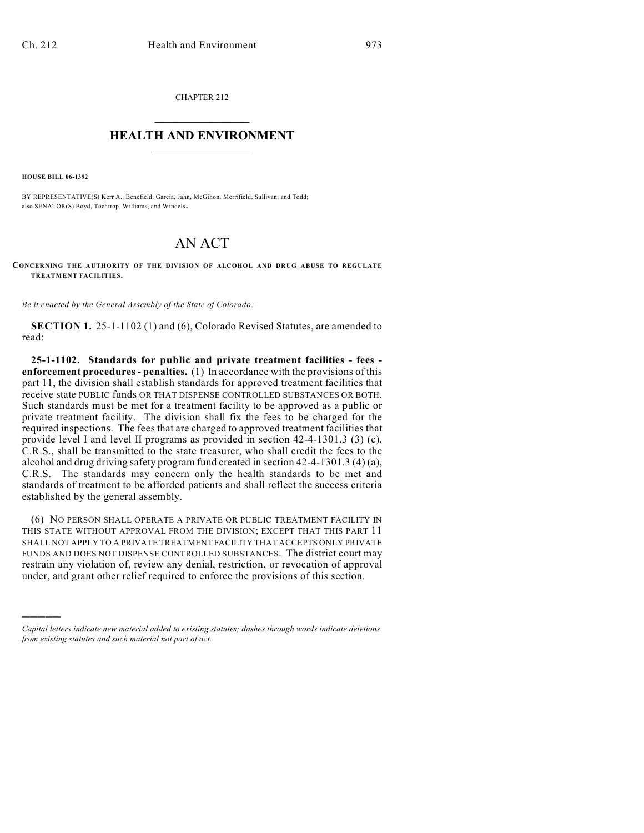CHAPTER 212  $\mathcal{L}_\text{max}$  . The set of the set of the set of the set of the set of the set of the set of the set of the set of the set of the set of the set of the set of the set of the set of the set of the set of the set of the set

## **HEALTH AND ENVIRONMENT**  $\_$

**HOUSE BILL 06-1392**

)))))

BY REPRESENTATIVE(S) Kerr A., Benefield, Garcia, Jahn, McGihon, Merrifield, Sullivan, and Todd; also SENATOR(S) Boyd, Tochtrop, Williams, and Windels.

## AN ACT

**CONCERNING THE AUTHORITY OF THE DIVISION OF ALCOHOL AND DRUG ABUSE TO REGULATE TREATMENT FACILITIES.**

*Be it enacted by the General Assembly of the State of Colorado:*

**SECTION 1.** 25-1-1102 (1) and (6), Colorado Revised Statutes, are amended to read:

**25-1-1102. Standards for public and private treatment facilities - fees enforcement procedures - penalties.** (1) In accordance with the provisions of this part 11, the division shall establish standards for approved treatment facilities that receive state PUBLIC funds OR THAT DISPENSE CONTROLLED SUBSTANCES OR BOTH. Such standards must be met for a treatment facility to be approved as a public or private treatment facility. The division shall fix the fees to be charged for the required inspections. The fees that are charged to approved treatment facilities that provide level I and level II programs as provided in section 42-4-1301.3 (3) (c), C.R.S., shall be transmitted to the state treasurer, who shall credit the fees to the alcohol and drug driving safety program fund created in section 42-4-1301.3 (4) (a), C.R.S. The standards may concern only the health standards to be met and standards of treatment to be afforded patients and shall reflect the success criteria established by the general assembly.

(6) NO PERSON SHALL OPERATE A PRIVATE OR PUBLIC TREATMENT FACILITY IN THIS STATE WITHOUT APPROVAL FROM THE DIVISION; EXCEPT THAT THIS PART 11 SHALL NOT APPLY TO A PRIVATE TREATMENT FACILITY THAT ACCEPTS ONLY PRIVATE FUNDS AND DOES NOT DISPENSE CONTROLLED SUBSTANCES. The district court may restrain any violation of, review any denial, restriction, or revocation of approval under, and grant other relief required to enforce the provisions of this section.

*Capital letters indicate new material added to existing statutes; dashes through words indicate deletions from existing statutes and such material not part of act.*